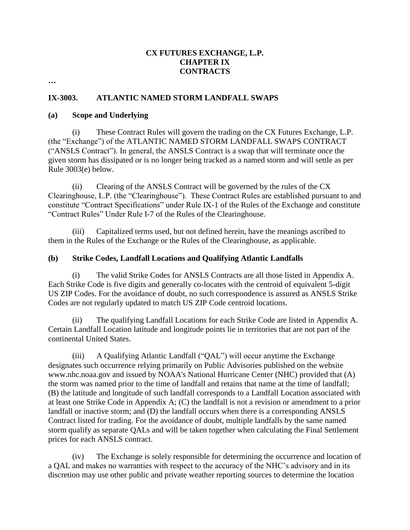## **CX FUTURES EXCHANGE, L.P. CHAPTER IX CONTRACTS**

**…** 

### **IX-3003. ATLANTIC NAMED STORM LANDFALL SWAPS**

#### **(a) Scope and Underlying**

(i) These Contract Rules will govern the trading on the CX Futures Exchange, L.P. (the "Exchange") of the ATLANTIC NAMED STORM LANDFALL SWAPS CONTRACT ("ANSLS Contract"). In general, the ANSLS Contract is a swap that will terminate once the given storm has dissipated or is no longer being tracked as a named storm and will settle as per Rule 3003(e) below.

(ii) Clearing of the ANSLS Contract will be governed by the rules of the CX Clearinghouse, L.P. (the "Clearinghouse"). These Contract Rules are established pursuant to and constitute "Contract Specifications" under Rule IX-1 of the Rules of the Exchange and constitute "Contract Rules" Under Rule I-7 of the Rules of the Clearinghouse.

(iii) Capitalized terms used, but not defined herein, have the meanings ascribed to them in the Rules of the Exchange or the Rules of the Clearinghouse, as applicable.

#### **(b) Strike Codes, Landfall Locations and Qualifying Atlantic Landfalls**

(i) The valid Strike Codes for ANSLS Contracts are all those listed in Appendix A. Each Strike Code is five digits and generally co-locates with the centroid of equivalent 5-digit US ZIP Codes. For the avoidance of doubt, no such correspondence is assured as ANSLS Strike Codes are not regularly updated to match US ZIP Code centroid locations.

(ii) The qualifying Landfall Locations for each Strike Code are listed in Appendix A. Certain Landfall Location latitude and longitude points lie in territories that are not part of the continental United States.

(iii) A Qualifying Atlantic Landfall ("QAL") will occur anytime the Exchange designates such occurrence relying primarily on Public Advisories published on the website www.nhc.noaa.gov and issued by NOAA's National Hurricane Center (NHC) provided that (A) the storm was named prior to the time of landfall and retains that name at the time of landfall; (B) the latitude and longitude of such landfall corresponds to a Landfall Location associated with at least one Strike Code in Appendix A; (C) the landfall is not a revision or amendment to a prior landfall or inactive storm; and (D) the landfall occurs when there is a corresponding ANSLS Contract listed for trading. For the avoidance of doubt, multiple landfalls by the same named storm qualify as separate QALs and will be taken together when calculating the Final Settlement prices for each ANSLS contract.

(iv) The Exchange is solely responsible for determining the occurrence and location of a QAL and makes no warranties with respect to the accuracy of the NHC's advisory and in its discretion may use other public and private weather reporting sources to determine the location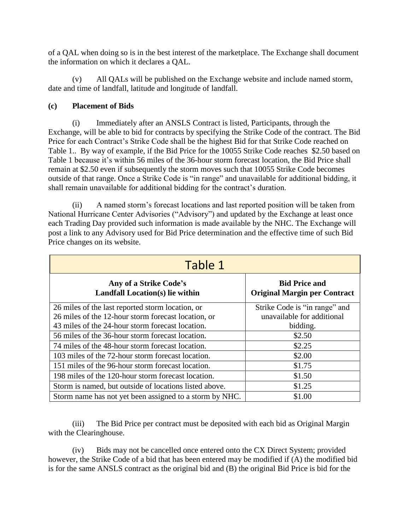of a QAL when doing so is in the best interest of the marketplace. The Exchange shall document the information on which it declares a QAL.

(v) All QALs will be published on the Exchange website and include named storm, date and time of landfall, latitude and longitude of landfall.

## **(c) Placement of Bids**

(i) Immediately after an ANSLS Contract is listed, Participants, through the Exchange, will be able to bid for contracts by specifying the Strike Code of the contract. The Bid Price for each Contract's Strike Code shall be the highest Bid for that Strike Code reached on Table 1.. By way of example, if the Bid Price for the 10055 Strike Code reaches \$2.50 based on Table 1 because it's within 56 miles of the 36-hour storm forecast location, the Bid Price shall remain at \$2.50 even if subsequently the storm moves such that 10055 Strike Code becomes outside of that range. Once a Strike Code is "in range" and unavailable for additional bidding, it shall remain unavailable for additional bidding for the contract's duration.

(ii) A named storm's forecast locations and last reported position will be taken from National Hurricane Center Advisories ("Advisory") and updated by the Exchange at least once each Trading Day provided such information is made available by the NHC. The Exchange will post a link to any Advisory used for Bid Price determination and the effective time of such Bid Price changes on its website.

| Table 1                                                   |                                                             |
|-----------------------------------------------------------|-------------------------------------------------------------|
| Any of a Strike Code's<br>Landfall Location(s) lie within | <b>Bid Price and</b><br><b>Original Margin per Contract</b> |
| 26 miles of the last reported storm location, or          | Strike Code is "in range" and                               |
| 26 miles of the 12-hour storm forecast location, or       | unavailable for additional                                  |
| 43 miles of the 24-hour storm forecast location.          | bidding.                                                    |
| 56 miles of the 36-hour storm forecast location.          | \$2.50                                                      |
| 74 miles of the 48-hour storm forecast location.          | \$2.25                                                      |
| 103 miles of the 72-hour storm forecast location.         | \$2.00                                                      |
| 151 miles of the 96-hour storm forecast location.         | \$1.75                                                      |
| 198 miles of the 120-hour storm forecast location.        | \$1.50                                                      |
| Storm is named, but outside of locations listed above.    | \$1.25                                                      |
| Storm name has not yet been assigned to a storm by NHC.   | \$1.00                                                      |

(iii) The Bid Price per contract must be deposited with each bid as Original Margin with the Clearinghouse.

(iv) Bids may not be cancelled once entered onto the CX Direct System; provided however, the Strike Code of a bid that has been entered may be modified if (A) the modified bid is for the same ANSLS contract as the original bid and (B) the original Bid Price is bid for the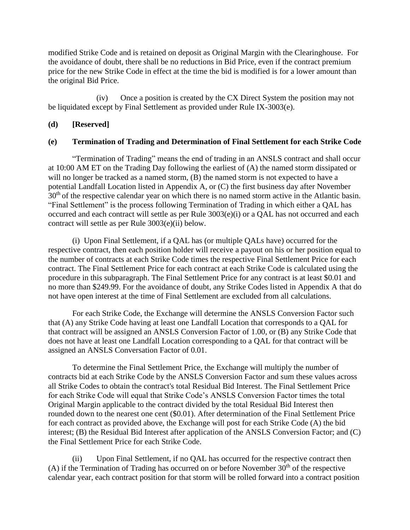modified Strike Code and is retained on deposit as Original Margin with the Clearinghouse. For the avoidance of doubt, there shall be no reductions in Bid Price, even if the contract premium price for the new Strike Code in effect at the time the bid is modified is for a lower amount than the original Bid Price.

(iv) Once a position is created by the CX Direct System the position may not be liquidated except by Final Settlement as provided under Rule IX-3003(e).

#### **(d) [Reserved]**

#### **(e) Termination of Trading and Determination of Final Settlement for each Strike Code**

"Termination of Trading" means the end of trading in an ANSLS contract and shall occur at 10:00 AM ET on the Trading Day following the earliest of (A) the named storm dissipated or will no longer be tracked as a named storm, (B) the named storm is not expected to have a potential Landfall Location listed in Appendix A, or (C) the first business day after November 30<sup>th</sup> of the respective calendar year on which there is no named storm active in the Atlantic basin. "Final Settlement" is the process following Termination of Trading in which either a QAL has occurred and each contract will settle as per Rule 3003(e)(i) or a QAL has not occurred and each contract will settle as per Rule 3003(e)(ii) below.

(i) Upon Final Settlement, if a QAL has (or multiple QALs have) occurred for the respective contract, then each position holder will receive a payout on his or her position equal to the number of contracts at each Strike Code times the respective Final Settlement Price for each contract. The Final Settlement Price for each contract at each Strike Code is calculated using the procedure in this subparagraph. The Final Settlement Price for any contract is at least \$0.01 and no more than \$249.99. For the avoidance of doubt, any Strike Codes listed in Appendix A that do not have open interest at the time of Final Settlement are excluded from all calculations.

For each Strike Code, the Exchange will determine the ANSLS Conversion Factor such that (A) any Strike Code having at least one Landfall Location that corresponds to a QAL for that contract will be assigned an ANSLS Conversion Factor of 1.00, or (B) any Strike Code that does not have at least one Landfall Location corresponding to a QAL for that contract will be assigned an ANSLS Conversation Factor of 0.01.

To determine the Final Settlement Price, the Exchange will multiply the number of contracts bid at each Strike Code by the ANSLS Conversion Factor and sum these values across all Strike Codes to obtain the contract's total Residual Bid Interest. The Final Settlement Price for each Strike Code will equal that Strike Code's ANSLS Conversion Factor times the total Original Margin applicable to the contract divided by the total Residual Bid Interest then rounded down to the nearest one cent (\$0.01). After determination of the Final Settlement Price for each contract as provided above, the Exchange will post for each Strike Code (A) the bid interest; (B) the Residual Bid Interest after application of the ANSLS Conversion Factor; and (C) the Final Settlement Price for each Strike Code.

(ii) Upon Final Settlement, if no QAL has occurred for the respective contract then (A) if the Termination of Trading has occurred on or before November  $30<sup>th</sup>$  of the respective calendar year, each contract position for that storm will be rolled forward into a contract position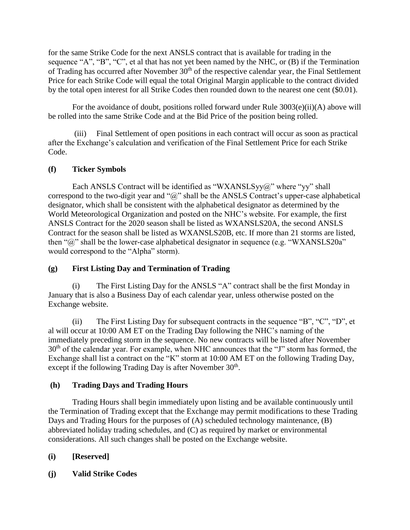for the same Strike Code for the next ANSLS contract that is available for trading in the sequence "A", "B", "C", et al that has not yet been named by the NHC, or (B) if the Termination of Trading has occurred after November 30<sup>th</sup> of the respective calendar year, the Final Settlement Price for each Strike Code will equal the total Original Margin applicable to the contract divided by the total open interest for all Strike Codes then rounded down to the nearest one cent (\$0.01).

For the avoidance of doubt, positions rolled forward under Rule 3003(e)(ii)(A) above will be rolled into the same Strike Code and at the Bid Price of the position being rolled.

(iii) Final Settlement of open positions in each contract will occur as soon as practical after the Exchange's calculation and verification of the Final Settlement Price for each Strike Code.

## **(f) Ticker Symbols**

Each ANSLS Contract will be identified as "WXANSLSyy@" where "yy" shall correspond to the two-digit year and " $@$ " shall be the ANSLS Contract's upper-case alphabetical designator, which shall be consistent with the alphabetical designator as determined by the World Meteorological Organization and posted on the NHC's website. For example, the first ANSLS Contract for the 2020 season shall be listed as WXANSLS20A, the second ANSLS Contract for the season shall be listed as WXANSLS20B, etc. If more than 21 storms are listed, then " $\hat{a}$ " shall be the lower-case alphabetical designator in sequence (e.g. "WXANSLS20a" would correspond to the "Alpha" storm).

### **(g) First Listing Day and Termination of Trading**

(i) The First Listing Day for the ANSLS "A" contract shall be the first Monday in January that is also a Business Day of each calendar year, unless otherwise posted on the Exchange website.

(ii) The First Listing Day for subsequent contracts in the sequence "B", "C", "D", et al will occur at 10:00 AM ET on the Trading Day following the NHC's naming of the immediately preceding storm in the sequence. No new contracts will be listed after November 30<sup>th</sup> of the calendar year. For example, when NHC announces that the "J" storm has formed, the Exchange shall list a contract on the "K" storm at 10:00 AM ET on the following Trading Day, except if the following Trading Day is after November  $30<sup>th</sup>$ .

# **(h) Trading Days and Trading Hours**

Trading Hours shall begin immediately upon listing and be available continuously until the Termination of Trading except that the Exchange may permit modifications to these Trading Days and Trading Hours for the purposes of (A) scheduled technology maintenance, (B) abbreviated holiday trading schedules, and (C) as required by market or environmental considerations. All such changes shall be posted on the Exchange website.

# **(i) [Reserved]**

**(j) Valid Strike Codes**